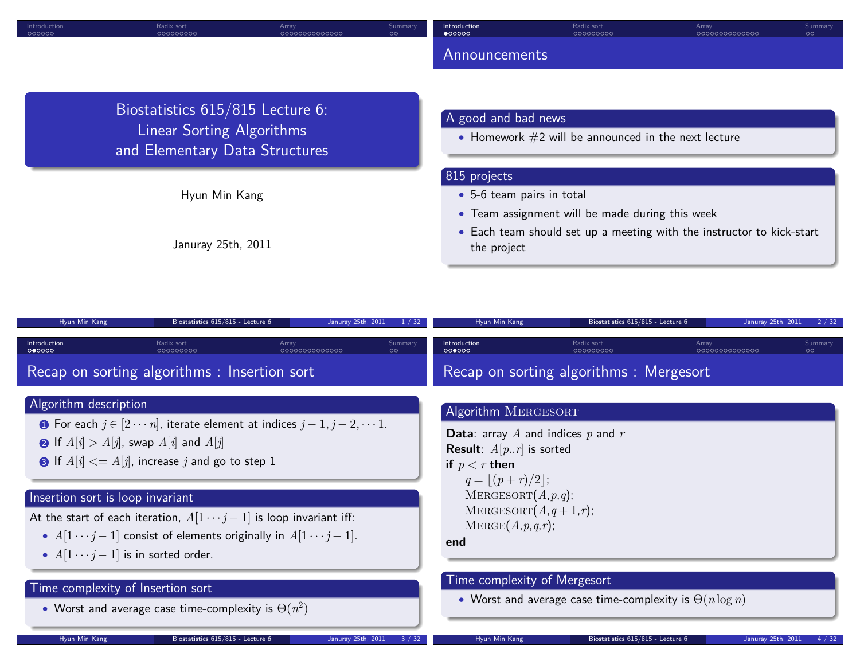| Introduction<br>000000                                    | Radix sort<br>000000000                                                                                                                              | Array<br>0000000000000                                                                                                                                                                                                                              | Summary<br>$\circ$ | Introduction<br>$\bullet$ 00000                                                                                                                  | Radix sort<br>000000000                                                                                                             | Array<br>0000000000000 | Summary<br>$\circ$ |
|-----------------------------------------------------------|------------------------------------------------------------------------------------------------------------------------------------------------------|-----------------------------------------------------------------------------------------------------------------------------------------------------------------------------------------------------------------------------------------------------|--------------------|--------------------------------------------------------------------------------------------------------------------------------------------------|-------------------------------------------------------------------------------------------------------------------------------------|------------------------|--------------------|
|                                                           |                                                                                                                                                      |                                                                                                                                                                                                                                                     |                    | Announcements                                                                                                                                    |                                                                                                                                     |                        |                    |
|                                                           | Biostatistics 615/815 Lecture 6:<br><b>Linear Sorting Algorithms</b><br>and Elementary Data Structures                                               |                                                                                                                                                                                                                                                     |                    | A good and bad news                                                                                                                              | • Homework $#2$ will be announced in the next lecture                                                                               |                        |                    |
|                                                           | Hyun Min Kang                                                                                                                                        |                                                                                                                                                                                                                                                     |                    | 815 projects<br>• 5-6 team pairs in total                                                                                                        |                                                                                                                                     |                        |                    |
|                                                           | Januray 25th, 2011                                                                                                                                   |                                                                                                                                                                                                                                                     | the project        | • Team assignment will be made during this week                                                                                                  | • Each team should set up a meeting with the instructor to kick-start                                                               |                        |                    |
| Hyun Min Kang                                             | Biostatistics 615/815 - Lecture 6                                                                                                                    | Januray 25th, 2011                                                                                                                                                                                                                                  | 1 / 32             | Hyun Min Kang                                                                                                                                    | Biostatistics 615/815 - Lecture 6                                                                                                   | Januray 25th, 2011     | 2/32               |
| Introduction<br>000000                                    | Radix sort<br>000000000                                                                                                                              | Array<br>0000000000000                                                                                                                                                                                                                              | Summary            | Introduction<br>000000                                                                                                                           | Radix sort<br>000000000                                                                                                             | Array<br>0000000000000 | Summary            |
|                                                           | Recap on sorting algorithms : Insertion sort                                                                                                         |                                                                                                                                                                                                                                                     |                    |                                                                                                                                                  | Recap on sorting algorithms : Mergesort                                                                                             |                        |                    |
| Algorithm description<br>Insertion sort is loop invariant | <b>a</b> If $A[i] > A[j]$ , swap $A[i]$ and $A[j]$<br>• If $A[i] \leq A[j]$ , increase j and go to step 1<br>• $A[1 \cdots j-1]$ is in sorted order. | <b>O</b> For each $j \in [2 \cdots n]$ , iterate element at indices $j-1, j-2, \cdots 1$ .<br>At the start of each iteration, $A[1 \cdots j-1]$ is loop invariant iff:<br>• $A[1 \cdots j-1]$ consist of elements originally in $A[1 \cdots j-1]$ . |                    | Algorithm MERGESORT<br><b>Result</b> : $A[p, r]$ is sorted<br>if $p < r$ then<br>$q =  (p+r)/2 ;$<br>MERGESORT(A,p,q);<br>MERGE(A,p,q,r);<br>end | <b>Data:</b> array A and indices $p$ and $r$<br>MERGESORT $(A,q+1,r);$                                                              |                        |                    |
| Time complexity of Insertion sort<br>Hyun Min Kang        | • Worst and average case time-complexity is $\Theta(n^2)$<br>Biostatistics 615/815 - Lecture 6                                                       | Januray 25th, 2011                                                                                                                                                                                                                                  |                    | Hyun Min Kang                                                                                                                                    | Time complexity of Mergesort<br>• Worst and average case time-complexity is $\Theta(n \log n)$<br>Biostatistics 615/815 - Lecture 6 | Januray 25th, 2011     |                    |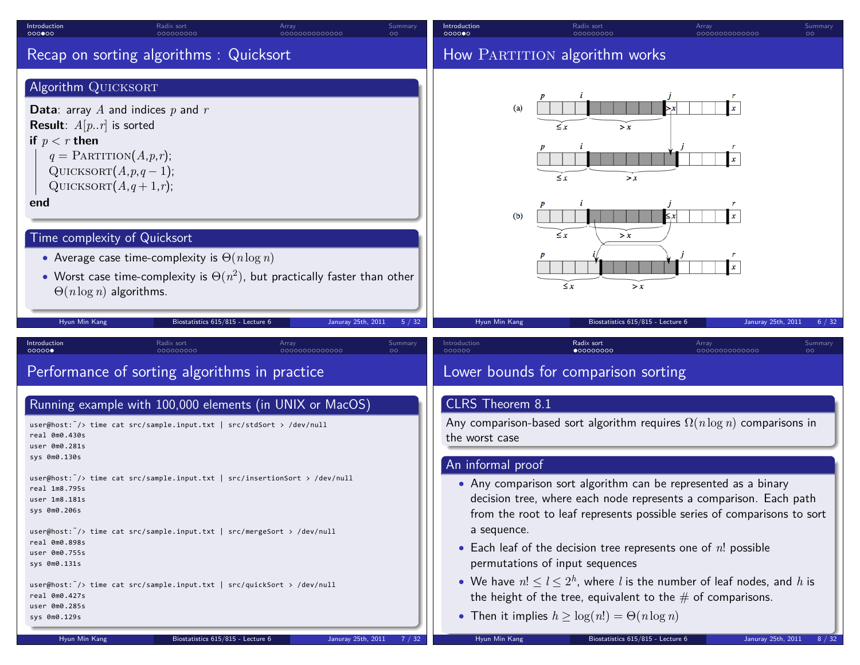| Introduction<br>0000000                                                                                                                                                                                               | Radix sort<br>000000000                                                                                                                                                                                                                                                                                                                                                                                                                                                                | Array<br>0000000000000 | Summary                       | Introduction<br>000000                                                                  | Radix sort<br>00000000C                                                                                                                                                                                                                                                                                                                                                                                                                                                                                                                                                                                                                                                                          | Array<br>0000000000000  | Summary<br>$\circ$ |  |
|-----------------------------------------------------------------------------------------------------------------------------------------------------------------------------------------------------------------------|----------------------------------------------------------------------------------------------------------------------------------------------------------------------------------------------------------------------------------------------------------------------------------------------------------------------------------------------------------------------------------------------------------------------------------------------------------------------------------------|------------------------|-------------------------------|-----------------------------------------------------------------------------------------|--------------------------------------------------------------------------------------------------------------------------------------------------------------------------------------------------------------------------------------------------------------------------------------------------------------------------------------------------------------------------------------------------------------------------------------------------------------------------------------------------------------------------------------------------------------------------------------------------------------------------------------------------------------------------------------------------|-------------------------|--------------------|--|
|                                                                                                                                                                                                                       | Recap on sorting algorithms: Quicksort                                                                                                                                                                                                                                                                                                                                                                                                                                                 |                        | How PARTITION algorithm works |                                                                                         |                                                                                                                                                                                                                                                                                                                                                                                                                                                                                                                                                                                                                                                                                                  |                         |                    |  |
| Algorithm QUICKSORT<br><b>Result:</b> $A[p, r]$ is sorted<br>if $p < r$ then<br>end<br>Hyun Min Kang                                                                                                                  | <b>Data:</b> array A and indices $p$ and $r$<br>$q = \text{PARTITION}(A, p, r);$<br>QUICKSORT $(A, p, q-1)$ ;<br>QUICKSORT $(A,q+1,r)$ ;<br>Time complexity of Quicksort<br>• Average case time-complexity is $\Theta(n \log n)$<br>• Worst case time-complexity is $\Theta(n^2)$ , but practically faster than other<br>$\Theta(n \log n)$ algorithms.<br>Biostatistics 615/815 - Lecture 6                                                                                           | Januray 25th, 2011     |                               | (a)<br>(b)<br>Hyun Min Kang                                                             | $\leq x$<br>> x<br>$\leq x$<br>> x<br>$\leq x$<br>> x<br>$\leq x$<br>> x<br>Biostatistics 615/815 - Lecture 6                                                                                                                                                                                                                                                                                                                                                                                                                                                                                                                                                                                    | Januray 25th, 2011      | 6/32               |  |
| Introduction<br>00000                                                                                                                                                                                                 | Radix sort<br>nannnnnar                                                                                                                                                                                                                                                                                                                                                                                                                                                                | Array<br>0000000000000 | <b>Summary</b>                | Introduction<br>000000                                                                  | Radix sort<br>$\bullet$ 00000000                                                                                                                                                                                                                                                                                                                                                                                                                                                                                                                                                                                                                                                                 | Array<br>00000000000000 | Summary            |  |
| real 0m0.430s<br>user 0m0.281s<br>sys 0m0.130s<br>real 1m8.795s<br>user 1m8.181s<br>sys 0m0.206s<br>real 0m0.898s<br>user 0m0.755s<br>sys 0m0.131s<br>real 0m0.427s<br>user 0m0.285s<br>sys 0m0.129s<br>Hyun Min Kang | Performance of sorting algorithms in practice<br>Running example with 100,000 elements (in UNIX or MacOS)<br>user@host: $\tilde{\ }$ /> time cat src/sample.input.txt   src/stdSort > /dev/null<br>user@host: $\tilde{\ }$ /> time cat src/sample.input.txt   src/insertionSort > /dev/null<br>user@host: /> time cat src/sample.input.txt   src/mergeSort > /dev/null<br>user@host: /> time cat src/sample.input.txt   src/quickSort > /dev/null<br>Biostatistics 615/815 - Lecture 6 | Januray 25th, 2011     | 7/32                          | CLRS Theorem 8.1<br>the worst case<br>An informal proof<br>a sequence.<br>Hyun Min Kang | Lower bounds for comparison sorting<br>Any comparison-based sort algorithm requires $\Omega(n \log n)$ comparisons in<br>• Any comparison sort algorithm can be represented as a binary<br>decision tree, where each node represents a comparison. Each path<br>from the root to leaf represents possible series of comparisons to sort<br>• Each leaf of the decision tree represents one of $n!$ possible<br>permutations of input sequences<br>• We have $n! \leq l \leq 2^h$ , where l is the number of leaf nodes, and h is<br>the height of the tree, equivalent to the $#$ of comparisons.<br>• Then it implies $h \geq \log(n!) = \Theta(n \log n)$<br>Biostatistics 615/815 - Lecture 6 | Januray 25th, 2011      | 8 / 32             |  |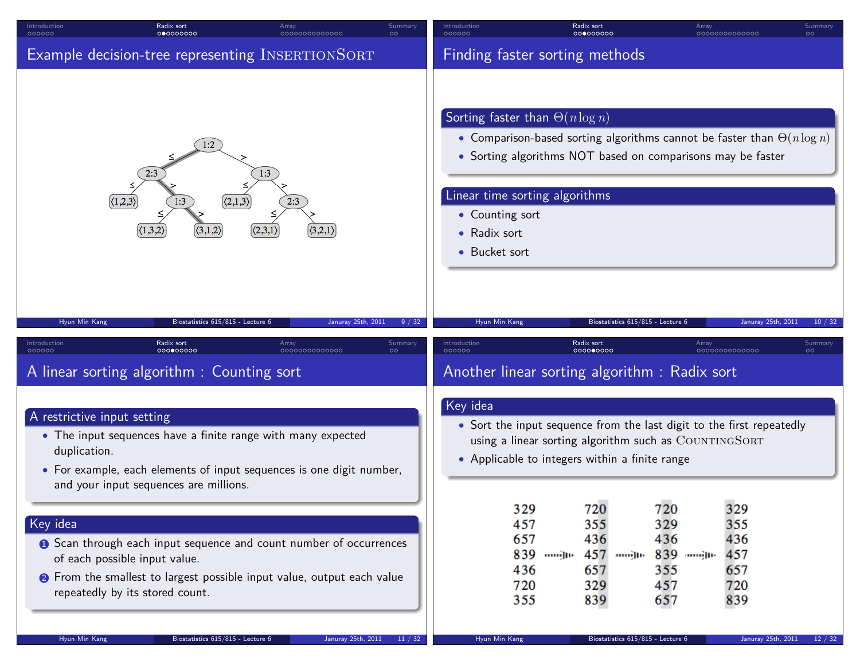| Radix sort<br>Introduction<br>000000<br>000000000                                                                                                                                                                                          | Array<br>0000000000000 | Summar                                                                                                                                                                                                                                                                                                          | Introduction<br>000000 | Radix sort<br>000000000                                                                                                                                                          | Array                                                         | 0000000000000                                 | Summary<br>$\circ$ |
|--------------------------------------------------------------------------------------------------------------------------------------------------------------------------------------------------------------------------------------------|------------------------|-----------------------------------------------------------------------------------------------------------------------------------------------------------------------------------------------------------------------------------------------------------------------------------------------------------------|------------------------|----------------------------------------------------------------------------------------------------------------------------------------------------------------------------------|---------------------------------------------------------------|-----------------------------------------------|--------------------|
| Example decision-tree representing INSERTIONSORT                                                                                                                                                                                           |                        |                                                                                                                                                                                                                                                                                                                 |                        |                                                                                                                                                                                  |                                                               |                                               |                    |
| 1:2<br>2:3<br>$\langle 2, 1, 3 \rangle$<br>(1,2,3)                                                                                                                                                                                         | 1:3                    | Finding faster sorting methods<br>Sorting faster than $\Theta(n \log n)$<br>• Comparison-based sorting algorithms cannot be faster than $\Theta(n \log n)$<br>• Sorting algorithms NOT based on comparisons may be faster<br>Linear time sorting algorithms<br>• Counting sort<br>• Radix sort<br>• Bucket sort |                        |                                                                                                                                                                                  |                                                               |                                               |                    |
| Biostatistics 615/815 - Lecture 6<br>Hyun Min Kang                                                                                                                                                                                         | Januray 25th, 2011     | 9 / 32                                                                                                                                                                                                                                                                                                          | Hyun Min Kang          | Biostatistics 615/815 - Lecture 6                                                                                                                                                |                                                               | Januray 25th, 2011                            | 10/32              |
| Introduction<br>Radix sort<br>000000000<br>000000                                                                                                                                                                                          | Array<br>0000000000000 | Summar                                                                                                                                                                                                                                                                                                          | Introduction<br>000000 | Radix sort<br>000000000                                                                                                                                                          | Array                                                         | 0000000000000                                 | Summary            |
| A linear sorting algorithm : Counting sort                                                                                                                                                                                                 |                        |                                                                                                                                                                                                                                                                                                                 |                        | Another linear sorting algorithm: Radix sort                                                                                                                                     |                                                               |                                               |                    |
| A restrictive input setting<br>• The input sequences have a finite range with many expected<br>duplication.<br>• For example, each elements of input sequences is one digit number,<br>and your input sequences are millions.              |                        |                                                                                                                                                                                                                                                                                                                 | Key idea               | • Sort the input sequence from the last digit to the first repeatedly<br>using a linear sorting algorithm such as COUNTINGSORT<br>• Applicable to integers within a finite range |                                                               |                                               |                    |
| Key idea<br><b>O</b> Scan through each input sequence and count number of occurrences<br>of each possible input value.<br><b>2</b> From the smallest to largest possible input value, output each value<br>repeatedly by its stored count. |                        |                                                                                                                                                                                                                                                                                                                 |                        | 329<br>720<br>355<br>457<br>657<br>436<br>839<br>457<br>)իթ<br>տավիթ<br>436<br>657<br>329<br>720<br>355<br>839                                                                   | 720<br>329<br>436<br>839 <sub>jp</sub> .<br>355<br>457<br>657 | 329<br>355<br>436<br>457<br>657<br>720<br>839 |                    |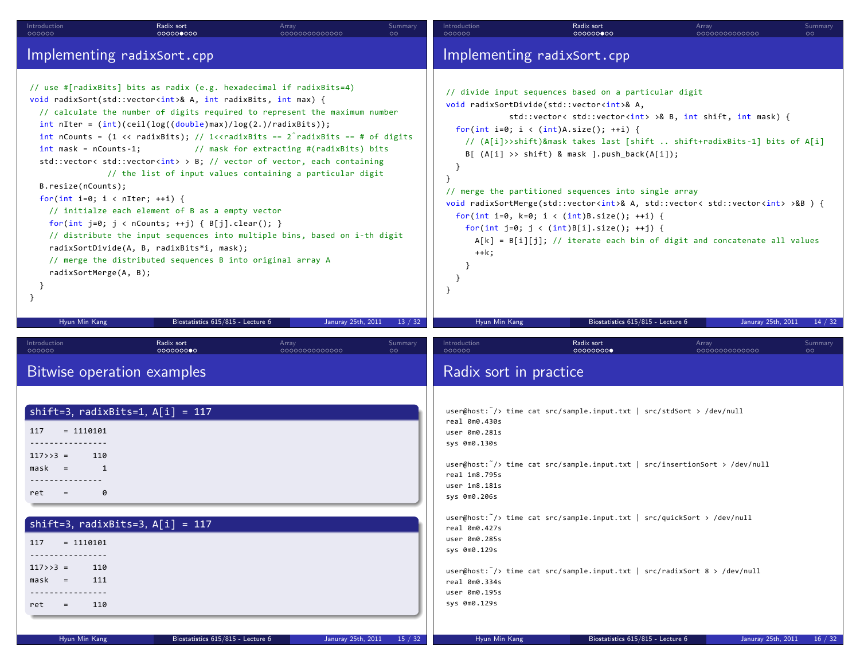| Introduction<br>000000                                                                                                                                                                                                      | Radix sort<br>000000000                                                                                                                                                                                                                                                                                                                                                                                                                                                                                                                                                                                                                                                                                                                                                                                                                                                                                                                | Array<br>0000000000000                   | Summary<br>$\circ$  | Introduction<br>000000                                                                                                                                                                                                                                                                                                                                                                                                                                                                                                                                                                                                                                                                                                                                                                                                                                              | Radix sort<br>000000000                                                                                                                                                                                                                                                                                                                                                     | Array<br>0000000000000 | Summary<br>$\circ$            |  |  |
|-----------------------------------------------------------------------------------------------------------------------------------------------------------------------------------------------------------------------------|----------------------------------------------------------------------------------------------------------------------------------------------------------------------------------------------------------------------------------------------------------------------------------------------------------------------------------------------------------------------------------------------------------------------------------------------------------------------------------------------------------------------------------------------------------------------------------------------------------------------------------------------------------------------------------------------------------------------------------------------------------------------------------------------------------------------------------------------------------------------------------------------------------------------------------------|------------------------------------------|---------------------|---------------------------------------------------------------------------------------------------------------------------------------------------------------------------------------------------------------------------------------------------------------------------------------------------------------------------------------------------------------------------------------------------------------------------------------------------------------------------------------------------------------------------------------------------------------------------------------------------------------------------------------------------------------------------------------------------------------------------------------------------------------------------------------------------------------------------------------------------------------------|-----------------------------------------------------------------------------------------------------------------------------------------------------------------------------------------------------------------------------------------------------------------------------------------------------------------------------------------------------------------------------|------------------------|-------------------------------|--|--|
|                                                                                                                                                                                                                             | Implementing radixSort.cpp                                                                                                                                                                                                                                                                                                                                                                                                                                                                                                                                                                                                                                                                                                                                                                                                                                                                                                             |                                          |                     |                                                                                                                                                                                                                                                                                                                                                                                                                                                                                                                                                                                                                                                                                                                                                                                                                                                                     |                                                                                                                                                                                                                                                                                                                                                                             |                        |                               |  |  |
| $int$ mask = nCounts-1;<br>B. residue(nCounts);<br>for(int i=0; i < nIter; ++i) {<br>radixSortMerge(A, B);<br>- }<br>-}                                                                                                     | // use #[radixBits] bits as radix (e.g. hexadecimal if radixBits=4)<br>void radixSort(std::vector <int>&amp; A, int radixBits, int max) {<br/>// calculate the number of digits required to represent the maximum number<br/>int nIter = <math>(int)(ceil(log((double)max)/log(2.)/radius)</math>;<br/>int nCounts = <math>(1 \lt \lt \text{radixBits})</math>; // 1<math>\lt</math>radixBits == <math>2</math> radixBits == # of digits<br/>std::vector&lt; std::vector&lt;<math>int</math>&gt; &gt; B; // vector of vector, each containing<br/>// the list of input values containing a particular digit<br/>// initialze each element of B as a empty vector<br/>for(int j=0; j &lt; nCounts; ++j) { <math>B[j].clear()</math>; }<br/>// distribute the input sequences into multiple bins, based on i-th digit<br/>radixSortDivide(A, B, radixBits*i, mask);<br/>// merge the distributed sequences B into original array A</int> | // mask for extracting #(radixBits) bits |                     | Implementing radixSort.cpp<br>// divide input sequences based on a particular digit<br>void radixSortDivide(std::vector <int>&amp; A,<br/>std::vector&lt; std::vector<int> &gt;&amp; B, int shift, int mask) {<br/>for(int i=0; i &lt; (int)A.size(); ++i) {<br/>// (A[i]&gt;&gt;shift)&amp;mask takes last [shift  shift+radixBits-1] bits of A[i]<br/><math>B[ (A[i] \rightarrow shift)</math> &amp; mask ].push_back(A[i]);<br/>}<br/>- 7<br/>// merge the partitioned sequences into single array<br/>void radixSortMerge(std::vector<int>&amp; A, std::vector&lt; std::vector<int> &gt;&amp;B ) {<br/>for(int i=0, k=0; i &lt; (int)B.size(); ++i) {<br/>for(int j=0; j &lt; (int)B[i].size(); ++j) {<br/><math>A[k] = B[i][j];</math> // iterate each bin of digit and concatenate all values<br/><math>++k;</math><br/>ŀ<br/>ł<br/>}</int></int></int></int> |                                                                                                                                                                                                                                                                                                                                                                             |                        |                               |  |  |
| Hyun Min Kang                                                                                                                                                                                                               | Biostatistics 615/815 - Lecture 6                                                                                                                                                                                                                                                                                                                                                                                                                                                                                                                                                                                                                                                                                                                                                                                                                                                                                                      | Januray 25th, 2011                       | 13 / 32             | Hyun Min Kang                                                                                                                                                                                                                                                                                                                                                                                                                                                                                                                                                                                                                                                                                                                                                                                                                                                       | Biostatistics 615/815 - Lecture 6                                                                                                                                                                                                                                                                                                                                           |                        | Januray 25th, 2011<br>14 / 32 |  |  |
| Introduction<br>000000                                                                                                                                                                                                      | Radix sort<br>000000000<br>Bitwise operation examples                                                                                                                                                                                                                                                                                                                                                                                                                                                                                                                                                                                                                                                                                                                                                                                                                                                                                  | Array<br>0000000000000                   | Summary<br>$\Omega$ | Introduction<br>000000<br>Radix sort in practice                                                                                                                                                                                                                                                                                                                                                                                                                                                                                                                                                                                                                                                                                                                                                                                                                    | Radix sort<br>00000000                                                                                                                                                                                                                                                                                                                                                      | Array<br>0000000000000 | Summary<br>ററ                 |  |  |
| $= 1110101$<br>117<br>------------<br>$117>>3 =$<br>110<br>1<br>mask<br>$=$<br>0<br>ret<br>$=$<br>117<br>$= 1110101$<br>----------------<br>$117>>3$ =<br>110<br>$mask =$<br>111<br>.<br>110<br>ret<br>$=$<br>Hyun Min Kang | shift=3, $radius_{\text{Bits}=1}$ , $A[i] = 117$<br>shift=3, $radiusBits=3$ , $A[i] = 117$<br>Biostatistics 615/815 - Lecture 6                                                                                                                                                                                                                                                                                                                                                                                                                                                                                                                                                                                                                                                                                                                                                                                                        | Januray 25th, 2011                       | 15 / 32             | real 0m0.430s<br>user 0m0.281s<br>sys 0m0.130s<br>real 1m8.795s<br>user 1m8.181s<br>sys 0m0.206s<br>real 0m0.427s<br>user 0m0.285s<br>sys 0m0.129s<br>real 0m0.334s<br>user 0m0.195s<br>sys 0m0.129s<br>Hyun Min Kang                                                                                                                                                                                                                                                                                                                                                                                                                                                                                                                                                                                                                                               | user@host: $\tilde{\ }$ /> time cat src/sample.input.txt   src/stdSort > /dev/null<br>user@host: $\tilde{\ }$ /> time cat src/sample.input.txt   src/insertionSort > /dev/null<br>user@host: /> time cat src/sample.input.txt   src/quickSort > /dev/null<br>user@host: /> time cat src/sample.input.txt   src/radixSort 8 > /dev/null<br>Biostatistics 615/815 - Lecture 6 |                        | Januray 25th, 2011<br>16 / 32 |  |  |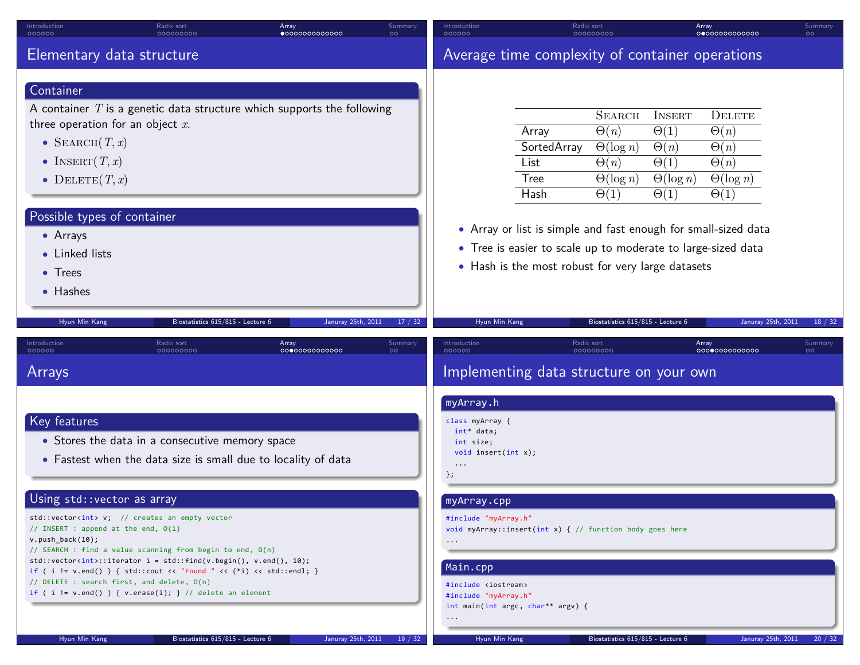| Introduction<br>000000                                                                                                                        | Radix sort<br>000000000                         | Array<br>$\bullet$ 0000000000000                                         | Summary<br>$\circ$ | Introduction<br>000000             |                                                                | Radix sort<br>000000000           |                  | Array<br>0000000000000 | Summary<br>$\circ$ |
|-----------------------------------------------------------------------------------------------------------------------------------------------|-------------------------------------------------|--------------------------------------------------------------------------|--------------------|------------------------------------|----------------------------------------------------------------|-----------------------------------|------------------|------------------------|--------------------|
| Elementary data structure                                                                                                                     |                                                 |                                                                          |                    |                                    | Average time complexity of container operations                |                                   |                  |                        |                    |
| Container                                                                                                                                     |                                                 |                                                                          |                    |                                    |                                                                |                                   |                  |                        |                    |
|                                                                                                                                               |                                                 | A container $T$ is a genetic data structure which supports the following |                    |                                    |                                                                | <b>SEARCH</b>                     | <b>INSERT</b>    | <b>DELETE</b>          |                    |
| three operation for an object $x$ .                                                                                                           |                                                 |                                                                          |                    |                                    | Array                                                          | $\Theta(n)$                       | $\Theta(1)$      | $\Theta(n)$            |                    |
| • SEARCH $(T, x)$                                                                                                                             |                                                 |                                                                          |                    |                                    | SortedArray                                                    | $\Theta(\log n)$                  | $\Theta(n)$      | $\Theta(n)$            |                    |
| • INSERT $(T, x)$                                                                                                                             |                                                 |                                                                          |                    |                                    | List                                                           | $\Theta(n)$                       | $\Theta(1)$      | $\Theta(n)$            |                    |
| • DELETE $(T, x)$                                                                                                                             |                                                 |                                                                          |                    |                                    | <b>Tree</b>                                                    | $\Theta(\log n)$                  | $\Theta(\log n)$ | $\Theta(\log n)$       |                    |
|                                                                                                                                               |                                                 |                                                                          |                    |                                    | Hash                                                           | $\Theta(1)$                       | $\Theta(1)$      | $\Theta(1)$            |                    |
| Possible types of container                                                                                                                   |                                                 |                                                                          |                    |                                    |                                                                |                                   |                  |                        |                    |
| • Arrays                                                                                                                                      |                                                 |                                                                          |                    |                                    | • Array or list is simple and fast enough for small-sized data |                                   |                  |                        |                    |
| • Linked lists                                                                                                                                |                                                 |                                                                          |                    |                                    | • Tree is easier to scale up to moderate to large-sized data   |                                   |                  |                        |                    |
| $\bullet$ Trees                                                                                                                               |                                                 |                                                                          |                    |                                    | • Hash is the most robust for very large datasets              |                                   |                  |                        |                    |
| • Hashes                                                                                                                                      |                                                 |                                                                          |                    |                                    |                                                                |                                   |                  |                        |                    |
|                                                                                                                                               |                                                 |                                                                          |                    |                                    |                                                                |                                   |                  |                        |                    |
| Hyun Min Kang                                                                                                                                 | Biostatistics 615/815 - Lecture 6               | Januray 25th, 2011                                                       | 17/32              | Hyun Min Kang                      |                                                                | Biostatistics 615/815 - Lecture 6 |                  | Januray 25th, 2011     | 18 / 32            |
| Introduction<br>000000                                                                                                                        | Radix sort<br>000000000                         | Array<br>0000000000000                                                   | Summary<br>$\circ$ | Introduction<br>000000             |                                                                | Radix sort<br>00000000            |                  | Array<br>0000000000000 | Summary<br>$\circ$ |
| Arrays                                                                                                                                        |                                                 |                                                                          |                    |                                    | Implementing data structure on your own                        |                                   |                  |                        |                    |
|                                                                                                                                               |                                                 |                                                                          |                    | myArray.h                          |                                                                |                                   |                  |                        |                    |
| Key features                                                                                                                                  |                                                 |                                                                          |                    | class myArray {<br>$int*$ data;    |                                                                |                                   |                  |                        |                    |
|                                                                                                                                               | • Stores the data in a consecutive memory space |                                                                          |                    | int size;                          |                                                                |                                   |                  |                        |                    |
|                                                                                                                                               |                                                 | • Fastest when the data size is small due to locality of data            |                    | void insert(int $x$ );<br>$\ddots$ |                                                                |                                   |                  |                        |                    |
|                                                                                                                                               |                                                 |                                                                          |                    | $\}$ ;                             |                                                                |                                   |                  |                        |                    |
| Using std:: vector as array                                                                                                                   |                                                 |                                                                          |                    | myArray.cpp                        |                                                                |                                   |                  |                        |                    |
| std::vector <int> v; // creates an empty vector</int>                                                                                         |                                                 |                                                                          |                    | #include "myArray.h"               |                                                                |                                   |                  |                        |                    |
| // INSERT : append at the end, $O(1)$<br>$v. push_back(10);$                                                                                  |                                                 |                                                                          |                    |                                    | void myArray::insert(int x) { $//$ function body goes here     |                                   |                  |                        |                    |
| // SEARCH : find a value scanning from begin to end, O(n)                                                                                     |                                                 |                                                                          |                    | $\cdots$                           |                                                                |                                   |                  |                        |                    |
| $std::vector\{int\}$ ::iterator i = std::find(v.begin(), v.end(), 10);<br>if ( i != v.end() ) { std::cout << "Found " << (*i) << std::endl; } |                                                 |                                                                          |                    | Main.cpp                           |                                                                |                                   |                  |                        |                    |
| // DELETE : search first, and delete, O(n)                                                                                                    |                                                 |                                                                          |                    | #include <iostream></iostream>     |                                                                |                                   |                  |                        |                    |
| if ( i != $v.end()$ ) { $v. erase(i);$ } // delete an element                                                                                 |                                                 |                                                                          |                    | #include "myArray.h"               | int main(int argc, char** argv) {                              |                                   |                  |                        |                    |
|                                                                                                                                               |                                                 |                                                                          |                    | $\ldots$                           |                                                                |                                   |                  |                        |                    |
| Hyun Min Kang                                                                                                                                 | Biostatistics 615/815 - Lecture 6               | Januray 25th, 2011                                                       | 19/32              | Hyun Min Kang                      |                                                                | Biostatistics 615/815 - Lecture 6 |                  | Januray 25th, 2011     | 20/32              |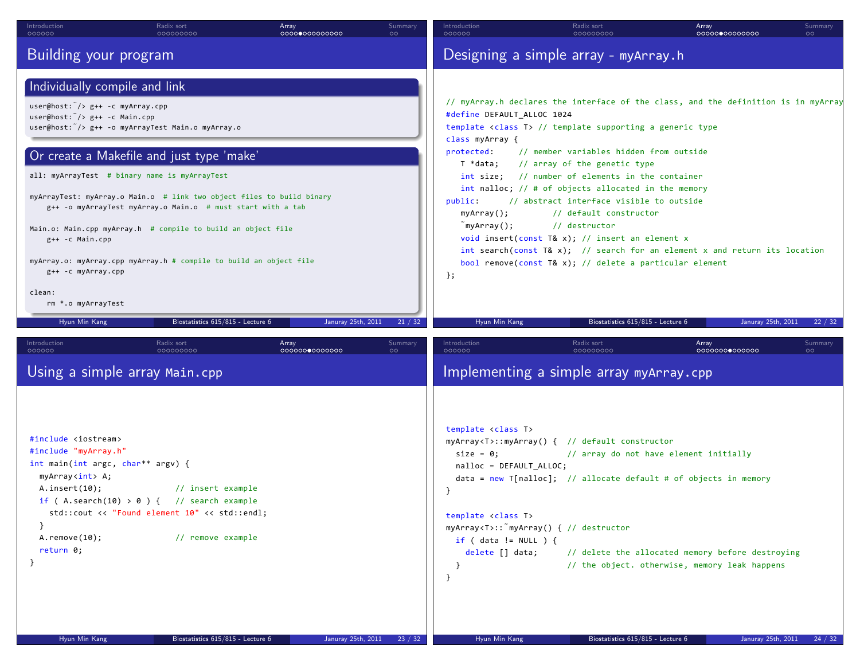| Introduction<br>000000                                                                                                                                                                                                                                                                                                                                                                            | Radix sort<br>000000000                                                                                                                                                                                                                                                                                                                                      | Array<br>0000000000000 | Summary<br>$\circ$ | Introduction<br>000000                                                                                                                                                                                                                                                                                                                                                                                                                                                                                                                                                                                                                                                                                                                                                                                                                                                 | Radix sort<br>000000000 | Array<br>0000000000000 | Summary<br>$\circ$ |  |  |
|---------------------------------------------------------------------------------------------------------------------------------------------------------------------------------------------------------------------------------------------------------------------------------------------------------------------------------------------------------------------------------------------------|--------------------------------------------------------------------------------------------------------------------------------------------------------------------------------------------------------------------------------------------------------------------------------------------------------------------------------------------------------------|------------------------|--------------------|------------------------------------------------------------------------------------------------------------------------------------------------------------------------------------------------------------------------------------------------------------------------------------------------------------------------------------------------------------------------------------------------------------------------------------------------------------------------------------------------------------------------------------------------------------------------------------------------------------------------------------------------------------------------------------------------------------------------------------------------------------------------------------------------------------------------------------------------------------------------|-------------------------|------------------------|--------------------|--|--|
| Building your program                                                                                                                                                                                                                                                                                                                                                                             |                                                                                                                                                                                                                                                                                                                                                              |                        |                    |                                                                                                                                                                                                                                                                                                                                                                                                                                                                                                                                                                                                                                                                                                                                                                                                                                                                        |                         |                        |                    |  |  |
| Individually compile and link<br>$user@host: */$ $g++ -c$ myArray.cpp<br>$user@host: \tilde{\ } /> g++ -c Main.cppuser@host: /> g++ -o myArrayTest Main.o myArray.oall: myArrayTest # binary name is myArrayTestg++ -c Main.cppg++ -c myArray.cppclean:rm *.o myArrayTestHyun Min Kang$                                                                                                           | Or create a Makefile and just type 'make'<br>myArrayTest: myArray.o Main.o # link two object files to build binary<br>g++ -o myArrayTest myArray.o Main.o # must start with a tab<br>Main.o: Main.cpp myArray.h # compile to build an object file<br>myArray.o: myArray.cpp myArray.h # compile to build an object file<br>Biostatistics 615/815 - Lecture 6 | Januray 25th, 2011     | 21 / 32            | Designing a simple array - myArray.h<br>// myArray.h declares the interface of the class, and the definition is in myArray<br>#define DEFAULT_ALLOC 1024<br>template <class t=""> // template supporting a generic type<br/>class myArray {<br/>protected:<br/>// member variables hidden from outside<br/>// array of the genetic type<br/>T *data;<br/>int size; // number of elements in the container<br/>int nalloc; // # of objects allocated in the memory<br/>// abstract interface visible to outside<br/>public:<br/><math>myArray()</math>;<br/>// default constructor<br/>myArray();<br/>// destructor<br/>void insert(const T&amp; x); // insert an element <math>x</math><br/>int search(const T&amp; x); <math>//</math> search for an element x and return its location<br/>bool remove(const T&amp; x); // delete a particular element<br/>};</class> |                         |                        |                    |  |  |
| Introduction<br>000000                                                                                                                                                                                                                                                                                                                                                                            | Radix sort<br>000000000                                                                                                                                                                                                                                                                                                                                      | Array<br>0000000000000 | Summary<br>$\circ$ | Introduction<br>000000                                                                                                                                                                                                                                                                                                                                                                                                                                                                                                                                                                                                                                                                                                                                                                                                                                                 | Radix sort<br>000000000 | Array<br>0000000000000 | Summary<br>$\circ$ |  |  |
| Using a simple array Main.cpp                                                                                                                                                                                                                                                                                                                                                                     |                                                                                                                                                                                                                                                                                                                                                              |                        |                    |                                                                                                                                                                                                                                                                                                                                                                                                                                                                                                                                                                                                                                                                                                                                                                                                                                                                        |                         |                        |                    |  |  |
| #include <iostream><br/>#include "myArray.h"<br/>int main(int argc, char** argv) {<br/>myArray<int> A;<br/>A.insent(10);<br/>// insert example<br/>if (A.search(10) &gt; 0) { // search example<br/>std::cout &lt;&lt; "Found element 10" &lt;&lt; std::endl;<br/>ł<br/>// remove example<br/><math>A.</math>remove<math>(10)</math>;<br/>return 0;<br/><math>\mathcal{F}</math></int></iostream> |                                                                                                                                                                                                                                                                                                                                                              |                        |                    | Implementing a simple array myArray.cpp<br>template <class t=""><br/>myArray<t>::myArray() { // default constructor<br/>// array do not have element initially<br/><math>size = 0;</math><br/>nalloc = DEFAULT_ALLOC;<br/><math>data = new T[{nalloc}];</math> // allocate default # of objects in memory<br/>template <class t=""><br/>myArray<t>:: myArray() { // destructor<br/>if ( data != <math>NULL</math> ) {<br/>// delete the allocated memory before destroying<br/>delete [] data;<br/>// the object. otherwise, memory leak happens<br/>−}<br/><math>\mathcal{F}</math></t></class></t></class>                                                                                                                                                                                                                                                           |                         |                        |                    |  |  |
|                                                                                                                                                                                                                                                                                                                                                                                                   |                                                                                                                                                                                                                                                                                                                                                              |                        |                    |                                                                                                                                                                                                                                                                                                                                                                                                                                                                                                                                                                                                                                                                                                                                                                                                                                                                        |                         |                        |                    |  |  |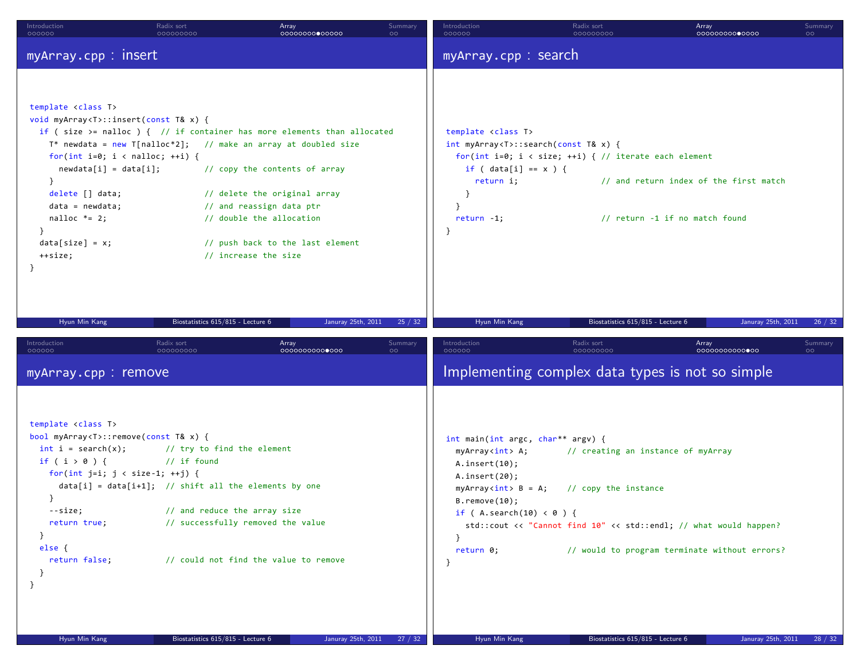| Introduction<br>000000                                                                                                                                                                                                                                                                                            | Radix sort<br>000000000                                                                                                                                                     | Array<br>0000000000000                                                                                                                                                                                                                                                                                                              | Summary<br>$\circ$         | Introduction<br>000000                                                                                                                                                                                                                           | Radix sort<br>000000000                                    | Array<br>0000000000000                                                                                             | Summary<br>$\circ$ |
|-------------------------------------------------------------------------------------------------------------------------------------------------------------------------------------------------------------------------------------------------------------------------------------------------------------------|-----------------------------------------------------------------------------------------------------------------------------------------------------------------------------|-------------------------------------------------------------------------------------------------------------------------------------------------------------------------------------------------------------------------------------------------------------------------------------------------------------------------------------|----------------------------|--------------------------------------------------------------------------------------------------------------------------------------------------------------------------------------------------------------------------------------------------|------------------------------------------------------------|--------------------------------------------------------------------------------------------------------------------|--------------------|
| myArray.cpp: insert                                                                                                                                                                                                                                                                                               |                                                                                                                                                                             |                                                                                                                                                                                                                                                                                                                                     |                            | myArray.cpp: search                                                                                                                                                                                                                              |                                                            |                                                                                                                    |                    |
| template <class t=""><br/>void myArray<t>::insert(const T&amp; x) {<br/>for(int i=0; i &lt; nalloc; ++i) {<br/><math>newdata[i] = data[i];</math><br/><math>\}</math><br/>delete [] data;<br/><math>data = newdata;</math><br/>nalloc <math>*= 2;</math><br/><math>data[size] = x;</math><br/>++size;</t></class> |                                                                                                                                                                             | if (size >= nalloc ) { $//$ if container has more elements than allocated<br>$T^*$ newdata = new T[nalloc*2]; // make an array at doubled size<br>// copy the contents of array<br>// delete the original array<br>// and reassign data ptr<br>// double the allocation<br>// push back to the last element<br>// increase the size |                            | template <class t=""><br/><math>int</math> myArray<t>::search(const T&amp; x) {<br/>if ( <math>data[i] == x</math> ) {<br/>return i;<br/>- }<br/>}<br/><math>return -1;</math><br/>- }</t></class>                                               | for(int i=0; i < size; ++i) { // iterate each element      | // and return index of the first match<br>// return -1 if no match found                                           |                    |
| Hyun Min Kang                                                                                                                                                                                                                                                                                                     | Biostatistics 615/815 - Lecture 6                                                                                                                                           | Januray 25th, 2011                                                                                                                                                                                                                                                                                                                  | 25 / 32                    | Hyun Min Kang                                                                                                                                                                                                                                    | Biostatistics 615/815 - Lecture 6                          | Januray 25th, 2011                                                                                                 | 26 / 32            |
| Introduction<br>000000                                                                                                                                                                                                                                                                                            | Radix sort<br>000000000                                                                                                                                                     | Array<br>00000000000000                                                                                                                                                                                                                                                                                                             | Summary<br>$\circ$         | Introduction<br>000000                                                                                                                                                                                                                           | Radix sort<br>000000000                                    | Array<br>00000000000000                                                                                            | Summary<br>$\circ$ |
| myArray.cpp: remove                                                                                                                                                                                                                                                                                               |                                                                                                                                                                             |                                                                                                                                                                                                                                                                                                                                     |                            |                                                                                                                                                                                                                                                  |                                                            | Implementing complex data types is not so simple                                                                   |                    |
| template <class t=""><br/>bool myArray<t>::remove(const T&amp; x) {<br/><math>int i = search(x);</math><br/>if <math>(i &gt; 0)</math> {<br/>for(int j=i; <math>j &lt;</math> size-1; ++j) {<br/>}<br/>--size;<br/>return true;<br/>}<br/>else<br/>return false;<br/>}</t></class>                                | // try to find the element<br>$//$ if found<br>$data[i] = data[i+1];$ // shift all the elements by one<br>// and reduce the array size<br>// successfully removed the value | // could not find the value to remove                                                                                                                                                                                                                                                                                               |                            | int main(int argc, char** argv) {<br>myArray <int> A;<br/>A.insort(10);<br/>A.inert(20);<br/><math>myArrayint &gt; B = A;</math><br/><math>B</math>. remove<math>(10)</math>;<br/>if (A.search(10) &lt; 0 ) {<br/>- 1<br/>return 0;<br/>-}</int> | // creating an instance of myArray<br>// copy the instance | std::cout << "Cannot find 10" << std::endl; // what would happen?<br>// would to program terminate without errors? |                    |
| Hyun Min Kang                                                                                                                                                                                                                                                                                                     | Biostatistics 615/815 - Lecture 6                                                                                                                                           |                                                                                                                                                                                                                                                                                                                                     | Januray 25th, 2011 27 / 32 | Hyun Min Kang                                                                                                                                                                                                                                    | Biostatistics 615/815 - Lecture 6                          | Januray 25th, 2011                                                                                                 | 28 / 32            |